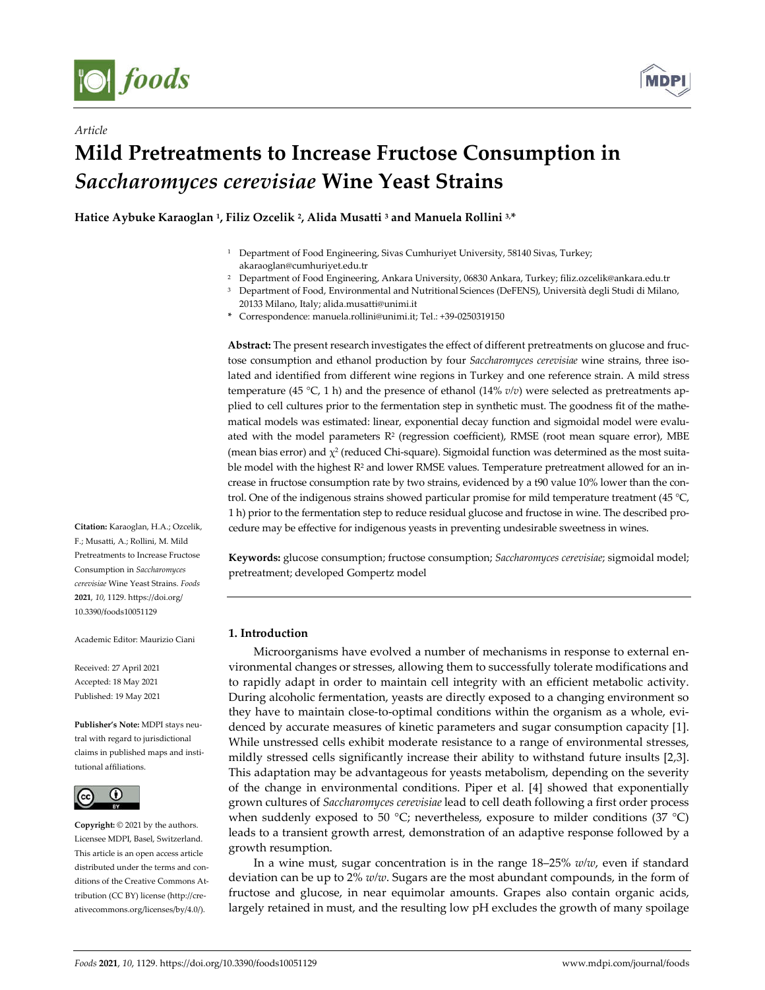

*Article*



# **Mild Pretreatments to Increase Fructose Consumption in**  *Saccharomyces cerevisiae* **Wine Yeast Strains**

**Hatice Aybuke Karaoglan 1, Filiz Ozcelik 2, Alida Musatti <sup>3</sup> and Manuela Rollini 3, \***

- <sup>2</sup> Department of Food Engineering, Ankara University, 06830 Ankara, Turkey; filiz.ozcelik@ankara.edu.tr
- <sup>3</sup> Department of Food, Environmental and Nutritional Sciences (DeFENS), Università degli Studi di Milano, 20133 Milano, Italy; alida.musatti@unimi.it
- **\*** Correspondence: manuela.rollini@unimi.it; Tel.: +39-0250319150

**Abstract:** The present research investigates the effect of different pretreatments on glucose and fructose consumption and ethanol production by four *Saccharomyces cerevisiae* wine strains, three isolated and identified from different wine regions in Turkey and one reference strain. A mild stress temperature (45 °C, 1 h) and the presence of ethanol (14% *v/v*) were selected as pretreatments applied to cell cultures prior to the fermentation step in synthetic must. The goodness fit of the mathematical models was estimated: linear, exponential decay function and sigmoidal model were evaluated with the model parameters  $R^2$  (regression coefficient), RMSE (root mean square error), MBE (mean bias error) and  $\chi^2$  (reduced Chi-square). Sigmoidal function was determined as the most suitable model with the highest R<sup>2</sup> and lower RMSE values. Temperature pretreatment allowed for an increase in fructose consumption rate by two strains, evidenced by a t90 value 10% lower than the control. One of the indigenous strains showed particular promise for mild temperature treatment (45 °C, 1 h) prior to the fermentation step to reduce residual glucose and fructose in wine. The described procedure may be effective for indigenous yeasts in preventing undesirable sweetness in wines.

**Keywords:** glucose consumption; fructose consumption; *Saccharomyces cerevisiae*; sigmoidal model; pretreatment; developed Gompertz model

## **1. Introduction**

Microorganisms have evolved a number of mechanisms in response to external environmental changes or stresses, allowing them to successfully tolerate modifications and to rapidly adapt in order to maintain cell integrity with an efficient metabolic activity. During alcoholic fermentation, yeasts are directly exposed to a changing environment so they have to maintain close-to-optimal conditions within the organism as a whole, evidenced by accurate measures of kinetic parameters and sugar consumption capacity [1]. While unstressed cells exhibit moderate resistance to a range of environmental stresses, mildly stressed cells significantly increase their ability to withstand future insults [2,3]. This adaptation may be advantageous for yeasts metabolism, depending on the severity of the change in environmental conditions. Piper et al. [4] showed that exponentially grown cultures of *Saccharomyces cerevisiae* lead to cell death following a first order process when suddenly exposed to 50 °C; nevertheless, exposure to milder conditions (37 °C) leads to a transient growth arrest, demonstration of an adaptive response followed by a growth resumption.

In a wine must, sugar concentration is in the range 18–25% *w/w*, even if standard deviation can be up to 2% *w/w*. Sugars are the most abundant compounds, in the form of fructose and glucose, in near equimolar amounts. Grapes also contain organic acids, largely retained in must, and the resulting low pH excludes the growth of many spoilage

**Citation:** Karaoglan, H.A.; Ozcelik, F.; Musatti, A.; Rollini, M. Mild Pretreatments to Increase Fructose Consumption in *Saccharomyces cerevisiae* Wine Yeast Strains. *Foods*  **2021**, *10*, 1129. https://doi.org/ 10.3390/foods10051129

Academic Editor: Maurizio Ciani

Received: 27 April 2021 Accepted: 18 May 2021 Published: 19 May 2021

**Publisher's Note:** MDPI stays neutral with regard to jurisdictional claims in published maps and institutional affiliations.



**Copyright:** © 2021 by the authors. Licensee MDPI, Basel, Switzerland. This article is an open access article distributed under the terms and conditions of the Creative Commons Attribution (CC BY) license (http://creativecommons.org/licenses/by/4.0/).

<sup>&</sup>lt;sup>1</sup> Department of Food Engineering, Sivas Cumhuriyet University, 58140 Sivas, Turkey; akaraoglan@cumhuriyet.edu.tr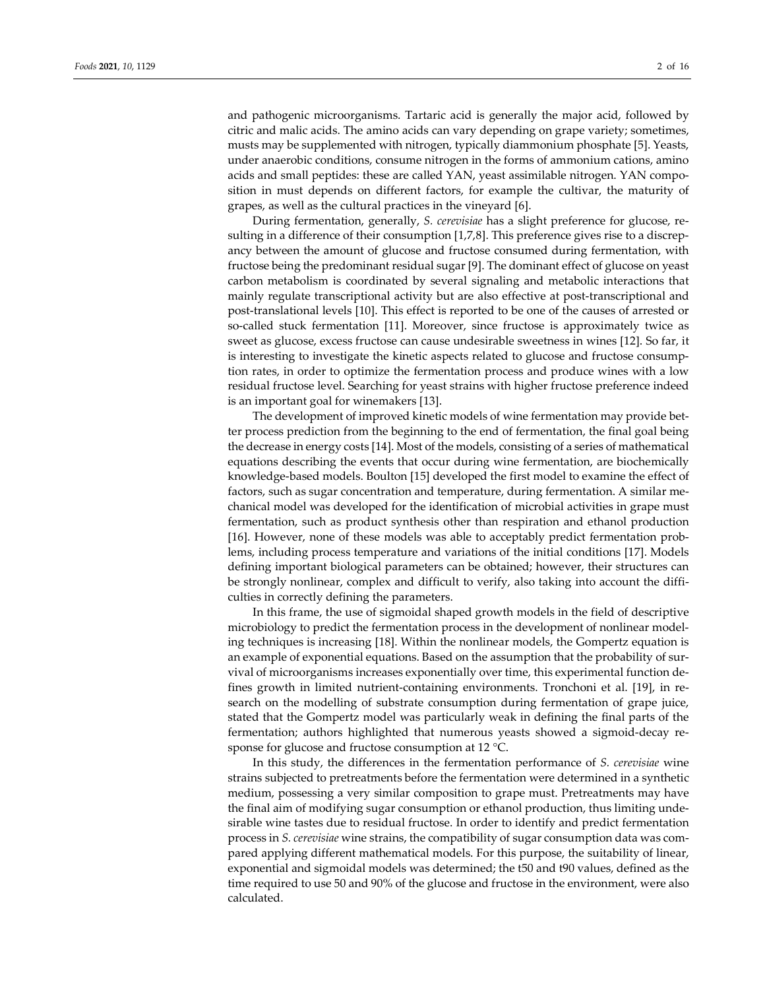and pathogenic microorganisms. Tartaric acid is generally the major acid, followed by citric and malic acids. The amino acids can vary depending on grape variety; sometimes, musts may be supplemented with nitrogen, typically diammonium phosphate [5]. Yeasts, under anaerobic conditions, consume nitrogen in the forms of ammonium cations, amino acids and small peptides: these are called YAN, yeast assimilable nitrogen. YAN composition in must depends on different factors, for example the cultivar, the maturity of grapes, as well as the cultural practices in the vineyard [6].

During fermentation, generally, *S. cerevisiae* has a slight preference for glucose, resulting in a difference of their consumption [1,7,8]. This preference gives rise to a discrepancy between the amount of glucose and fructose consumed during fermentation, with fructose being the predominant residual sugar [9]. The dominant effect of glucose on yeast carbon metabolism is coordinated by several signaling and metabolic interactions that mainly regulate transcriptional activity but are also effective at post-transcriptional and post-translational levels [10]. This effect is reported to be one of the causes of arrested or so-called stuck fermentation [11]. Moreover, since fructose is approximately twice as sweet as glucose, excess fructose can cause undesirable sweetness in wines [12]. So far, it is interesting to investigate the kinetic aspects related to glucose and fructose consumption rates, in order to optimize the fermentation process and produce wines with a low residual fructose level. Searching for yeast strains with higher fructose preference indeed is an important goal for winemakers [13].

The development of improved kinetic models of wine fermentation may provide better process prediction from the beginning to the end of fermentation, the final goal being the decrease in energy costs [14]. Most of the models, consisting of a series of mathematical equations describing the events that occur during wine fermentation, are biochemically knowledge-based models. Boulton [15] developed the first model to examine the effect of factors, such as sugar concentration and temperature, during fermentation. A similar mechanical model was developed for the identification of microbial activities in grape must fermentation, such as product synthesis other than respiration and ethanol production [16]. However, none of these models was able to acceptably predict fermentation problems, including process temperature and variations of the initial conditions [17]. Models defining important biological parameters can be obtained; however, their structures can be strongly nonlinear, complex and difficult to verify, also taking into account the difficulties in correctly defining the parameters.

In this frame, the use of sigmoidal shaped growth models in the field of descriptive microbiology to predict the fermentation process in the development of nonlinear modeling techniques is increasing [18]. Within the nonlinear models, the Gompertz equation is an example of exponential equations. Based on the assumption that the probability of survival of microorganisms increases exponentially over time, this experimental function defines growth in limited nutrient-containing environments. Tronchoni et al. [19], in research on the modelling of substrate consumption during fermentation of grape juice, stated that the Gompertz model was particularly weak in defining the final parts of the fermentation; authors highlighted that numerous yeasts showed a sigmoid-decay response for glucose and fructose consumption at 12 °C.

In this study, the differences in the fermentation performance of *S. cerevisiae* wine strains subjected to pretreatments before the fermentation were determined in a synthetic medium, possessing a very similar composition to grape must. Pretreatments may have the final aim of modifying sugar consumption or ethanol production, thus limiting undesirable wine tastes due to residual fructose. In order to identify and predict fermentation process in *S. cerevisiae* wine strains, the compatibility of sugar consumption data was compared applying different mathematical models. For this purpose, the suitability of linear, exponential and sigmoidal models was determined; the t50 and t90 values, defined as the time required to use 50 and 90% of the glucose and fructose in the environment, were also calculated.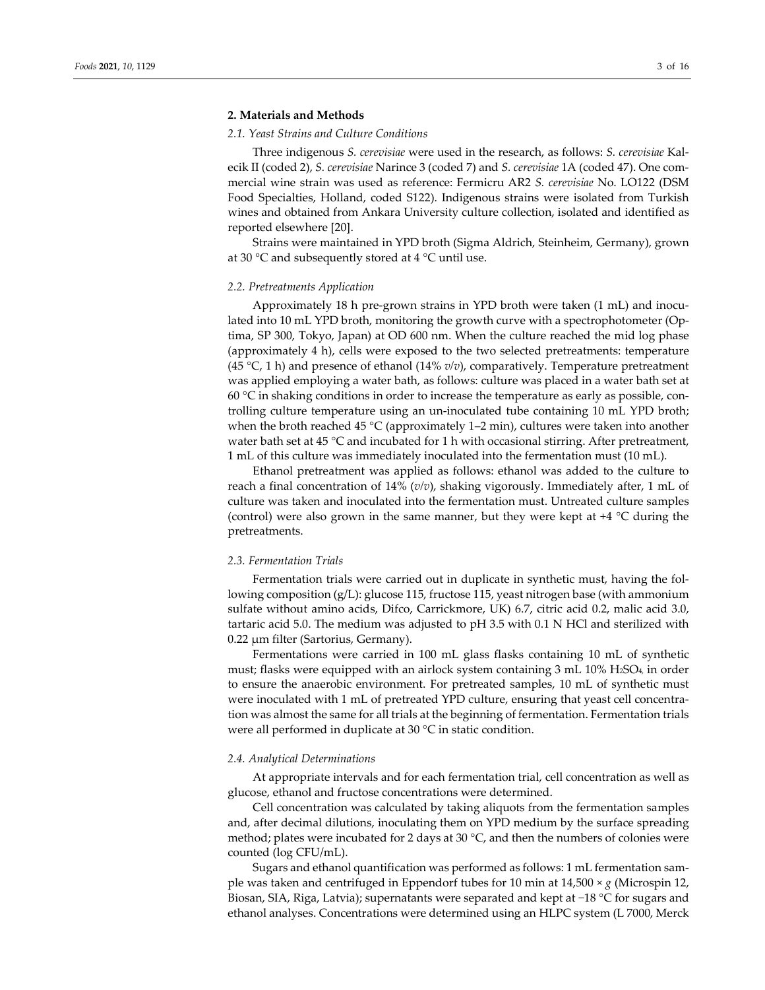## **2. Materials and Methods**

### *2.1. Yeast Strains and Culture Conditions*

Three indigenous *S. cerevisiae* were used in the research, as follows: *S. cerevisiae* Kalecik II (coded 2), *S. cerevisiae* Narince 3 (coded 7) and *S. cerevisiae* 1A (coded 47). One commercial wine strain was used as reference: Fermicru AR2 *S. cerevisiae* No. LO122 (DSM Food Specialties, Holland, coded S122). Indigenous strains were isolated from Turkish wines and obtained from Ankara University culture collection, isolated and identified as reported elsewhere [20].

Strains were maintained in YPD broth (Sigma Aldrich, Steinheim, Germany), grown at 30 °C and subsequently stored at 4 °C until use.

### *2.2. Pretreatments Application*

Approximately 18 h pre-grown strains in YPD broth were taken (1 mL) and inoculated into 10 mL YPD broth, monitoring the growth curve with a spectrophotometer (Optima, SP 300, Tokyo, Japan) at OD 600 nm. When the culture reached the mid log phase (approximately 4 h), cells were exposed to the two selected pretreatments: temperature (45 °C, 1 h) and presence of ethanol (14% *v/v*), comparatively. Temperature pretreatment was applied employing a water bath, as follows: culture was placed in a water bath set at 60  $\degree$ C in shaking conditions in order to increase the temperature as early as possible, controlling culture temperature using an un-inoculated tube containing 10 mL YPD broth; when the broth reached 45 °C (approximately 1–2 min), cultures were taken into another water bath set at 45 °C and incubated for 1 h with occasional stirring. After pretreatment, 1 mL of this culture was immediately inoculated into the fermentation must (10 mL).

Ethanol pretreatment was applied as follows: ethanol was added to the culture to reach a final concentration of 14% (*v/v*), shaking vigorously. Immediately after, 1 mL of culture was taken and inoculated into the fermentation must. Untreated culture samples (control) were also grown in the same manner, but they were kept at +4 °C during the pretreatments.

#### *2.3. Fermentation Trials*

Fermentation trials were carried out in duplicate in synthetic must, having the following composition (g/L): glucose 115, fructose 115, yeast nitrogen base (with ammonium sulfate without amino acids, Difco, Carrickmore, UK) 6.7, citric acid 0.2, malic acid 3.0, tartaric acid 5.0. The medium was adjusted to pH 3.5 with 0.1 N HCl and sterilized with 0.22 µm filter (Sartorius, Germany).

Fermentations were carried in 100 mL glass flasks containing 10 mL of synthetic must; flasks were equipped with an airlock system containing 3 mL 10% H2SO4, in order to ensure the anaerobic environment. For pretreated samples, 10 mL of synthetic must were inoculated with 1 mL of pretreated YPD culture, ensuring that yeast cell concentration was almost the same for all trials at the beginning of fermentation. Fermentation trials were all performed in duplicate at 30 °C in static condition.

## *2.4. Analytical Determinations*

At appropriate intervals and for each fermentation trial, cell concentration as well as glucose, ethanol and fructose concentrations were determined.

Cell concentration was calculated by taking aliquots from the fermentation samples and, after decimal dilutions, inoculating them on YPD medium by the surface spreading method; plates were incubated for 2 days at 30 °C, and then the numbers of colonies were counted (log CFU/mL).

Sugars and ethanol quantification was performed as follows: 1 mL fermentation sample was taken and centrifuged in Eppendorf tubes for 10 min at 14,500 × *g* (Microspin 12, Biosan, SIA, Riga, Latvia); supernatants were separated and kept at −18 °C for sugars and ethanol analyses. Concentrations were determined using an HLPC system (L 7000, Merck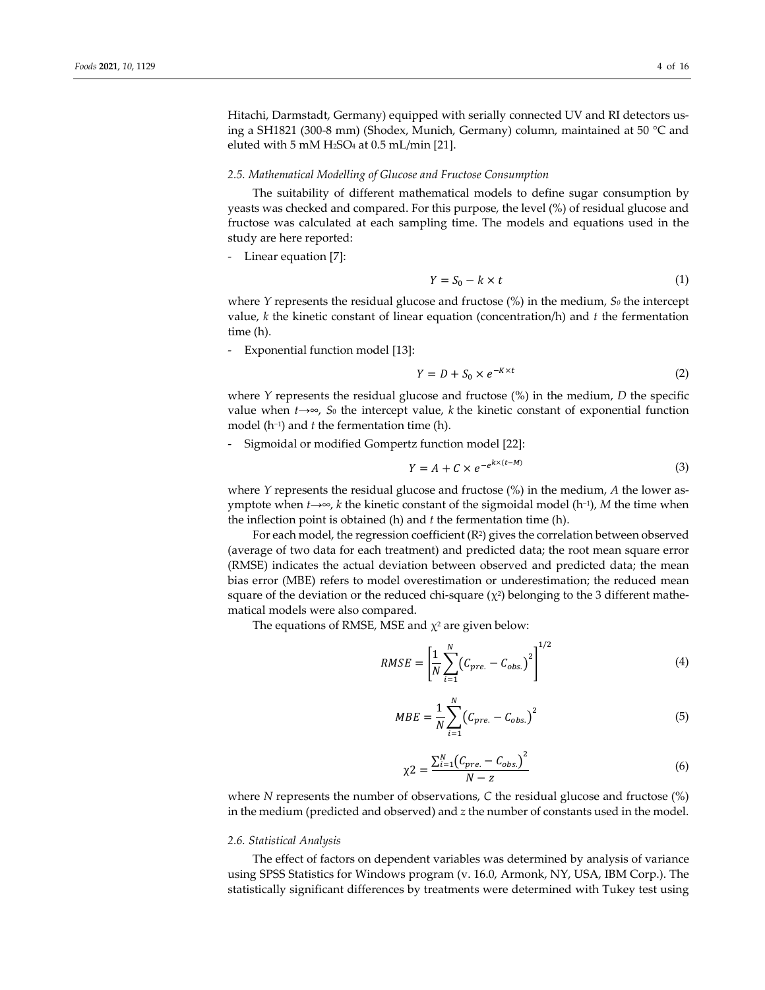Hitachi, Darmstadt, Germany) equipped with serially connected UV and RI detectors using a SH1821 (300-8 mm) (Shodex, Munich, Germany) column, maintained at 50 °C and eluted with 5 mM H2SO4 at 0.5 mL/min [21].

#### *2.5. Mathematical Modelling of Glucose and Fructose Consumption*

The suitability of different mathematical models to define sugar consumption by yeasts was checked and compared. For this purpose, the level (%) of residual glucose and fructose was calculated at each sampling time. The models and equations used in the study are here reported:

- Linear equation [7]:

$$
Y = S_0 - k \times t \tag{1}
$$

where *Y* represents the residual glucose and fructose (%) in the medium, *S0* the intercept value, *k* the kinetic constant of linear equation (concentration/h) and *t* the fermentation time (h).

- Exponential function model [13]:

$$
Y = D + S_0 \times e^{-K \times t} \tag{2}
$$

where *Y* represents the residual glucose and fructose (%) in the medium, *D* the specific value when  $t\rightarrow ∞$ ,  $S_0$  the intercept value,  $k$  the kinetic constant of exponential function model (h−1) and *t* the fermentation time (h).

- Sigmoidal or modified Gompertz function model [22]:

$$
Y = A + C \times e^{-e^{k \times (t - M)}}
$$
\n(3)

where *Y* represents the residual glucose and fructose (%) in the medium, *A* the lower asymptote when *t*→∞, *k* the kinetic constant of the sigmoidal model (h−1), *M* the time when the inflection point is obtained (h) and *t* the fermentation time (h).

For each model, the regression coefficient (R2) gives the correlation between observed (average of two data for each treatment) and predicted data; the root mean square error (RMSE) indicates the actual deviation between observed and predicted data; the mean bias error (MBE) refers to model overestimation or underestimation; the reduced mean square of the deviation or the reduced chi-square  $(\chi^2)$  belonging to the 3 different mathematical models were also compared.

The equations of RMSE, MSE and  $\chi^2$  are given below:

$$
RMSE = \left[\frac{1}{N} \sum_{i=1}^{N} (C_{pre.} - C_{obs.})^2\right]^{1/2}
$$
 (4)

$$
MBE = \frac{1}{N} \sum_{i=1}^{N} (C_{pre.} - C_{obs.})^2
$$
 (5)

$$
\chi_2 = \frac{\sum_{i=1}^{N} (C_{pre.} - C_{obs.})^2}{N - z}
$$
(6)

where *N* represents the number of observations, *C* the residual glucose and fructose (%) in the medium (predicted and observed) and *z* the number of constants used in the model.

#### *2.6. Statistical Analysis*

The effect of factors on dependent variables was determined by analysis of variance using SPSS Statistics for Windows program (v. 16.0, Armonk, NY, USA, IBM Corp.). The statistically significant differences by treatments were determined with Tukey test using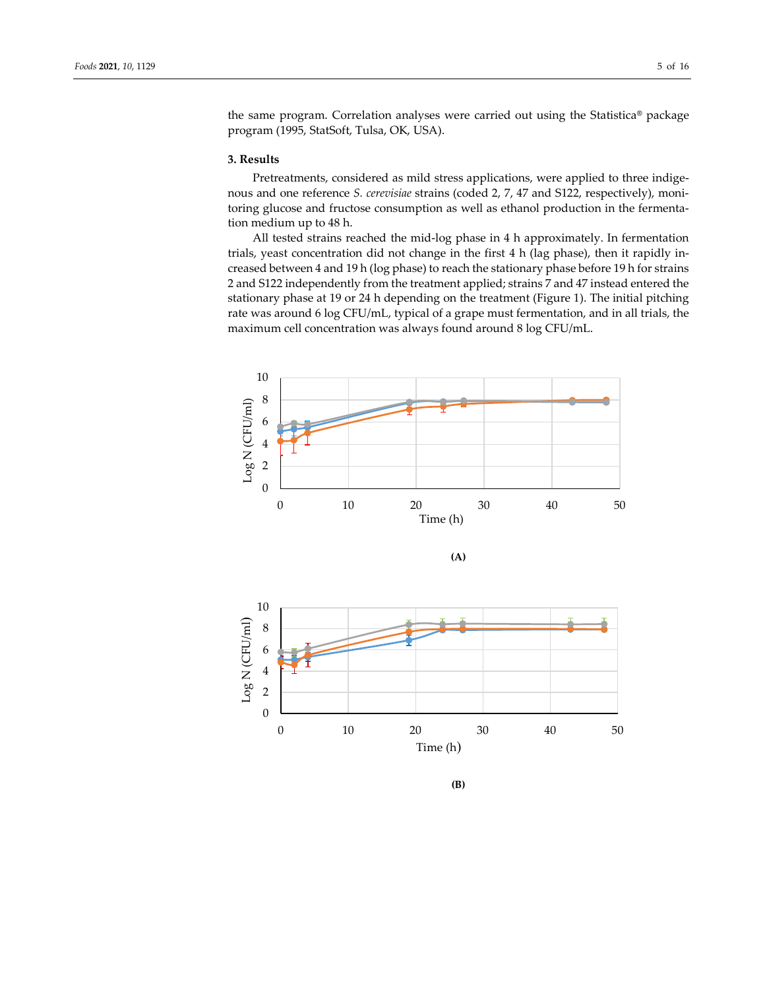the same program. Correlation analyses were carried out using the Statistica**®** package program (1995, StatSoft, Tulsa, OK, USA).

# **3. Results**

Pretreatments, considered as mild stress applications, were applied to three indigenous and one reference *S. cerevisiae* strains (coded 2, 7, 47 and S122, respectively), monitoring glucose and fructose consumption as well as ethanol production in the fermentation medium up to 48 h.

All tested strains reached the mid-log phase in 4 h approximately. In fermentation trials, yeast concentration did not change in the first 4 h (lag phase), then it rapidly increased between 4 and 19 h (log phase) to reach the stationary phase before 19 h for strains 2 and S122 independently from the treatment applied; strains 7 and 47 instead entered the stationary phase at 19 or 24 h depending on the treatment (Figure 1). The initial pitching rate was around 6 log CFU/mL, typical of a grape must fermentation, and in all trials, the maximum cell concentration was always found around 8 log CFU/mL.



**<sup>(</sup>B)**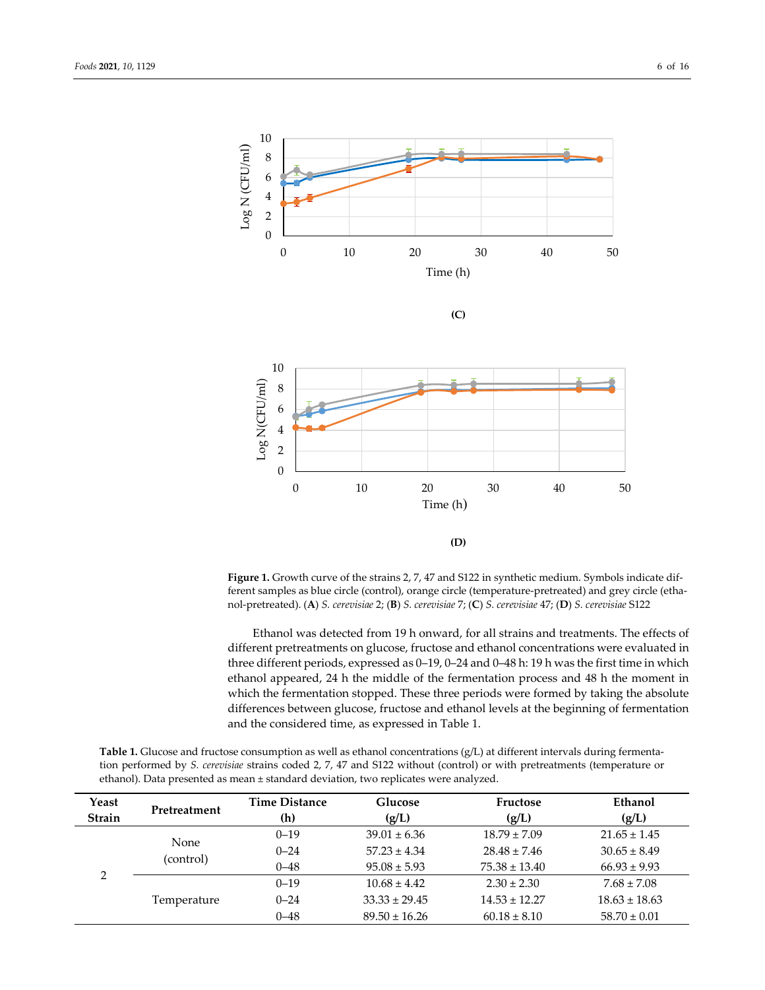

**Figure 1.** Growth curve of the strains 2, 7, 47 and S122 in synthetic medium. Symbols indicate different samples as blue circle (control), orange circle (temperature-pretreated) and grey circle (ethanol-pretreated). (**A**) *S. cerevisiae* 2; (**B**) *S. cerevisiae* 7; (**C**) *S. cerevisiae* 47; (**D**) *S. cerevisiae* S122

Ethanol was detected from 19 h onward, for all strains and treatments. The effects of different pretreatments on glucose, fructose and ethanol concentrations were evaluated in three different periods, expressed as 0–19, 0–24 and 0–48 h: 19 h was the first time in which ethanol appeared, 24 h the middle of the fermentation process and 48 h the moment in which the fermentation stopped. These three periods were formed by taking the absolute differences between glucose, fructose and ethanol levels at the beginning of fermentation and the considered time, as expressed in Table 1.

| Yeast<br>Strain | <b>Time Distance</b><br>Pretreatment<br>(h) |          | Glucose<br>(g/L)  | Fructose<br>(g/L) | Ethanol<br>(g/L)  |  |  |
|-----------------|---------------------------------------------|----------|-------------------|-------------------|-------------------|--|--|
|                 |                                             | $0 - 19$ | $39.01 \pm 6.36$  | $18.79 \pm 7.09$  | $21.65 \pm 1.45$  |  |  |
|                 | None<br>(control)                           | $0 - 24$ | $57.23 \pm 4.34$  | $28.48 \pm 7.46$  | $30.65 \pm 8.49$  |  |  |
| ∍               |                                             | $0 - 48$ | $95.08 \pm 5.93$  | $75.38 \pm 13.40$ | $66.93 \pm 9.93$  |  |  |
|                 |                                             | $0 - 19$ | $10.68 \pm 4.42$  | $2.30 \pm 2.30$   | $7.68 \pm 7.08$   |  |  |
|                 | Temperature                                 | $0 - 24$ | $33.33 \pm 29.45$ | $14.53 \pm 12.27$ | $18.63 \pm 18.63$ |  |  |
|                 |                                             | $0 - 48$ | $89.50 \pm 16.26$ | $60.18 \pm 8.10$  | $58.70 \pm 0.01$  |  |  |

**Table 1.** Glucose and fructose consumption as well as ethanol concentrations (g/L) at different intervals during fermentation performed by *S. cerevisiae* strains coded 2, 7, 47 and S122 without (control) or with pretreatments (temperature or ethanol). Data presented as mean ± standard deviation, two replicates were analyzed.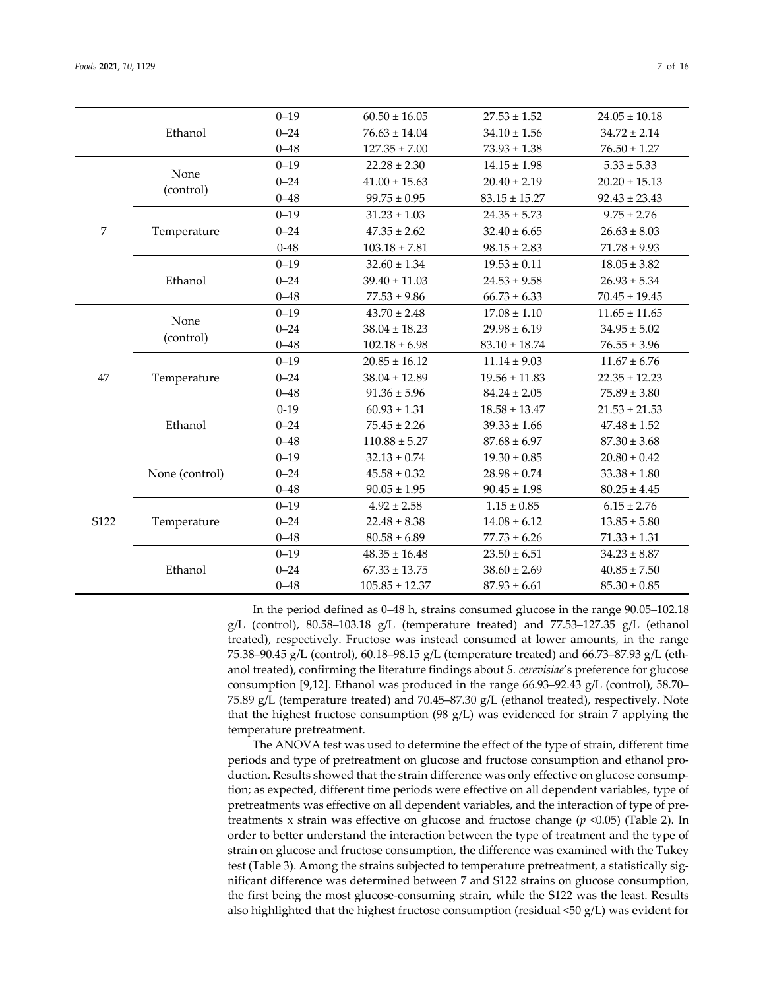|                |                | $0 - 19$ | $60.50 \pm 16.05$  | $27.53 \pm 1.52$  | $24.05 \pm 10.18$ |
|----------------|----------------|----------|--------------------|-------------------|-------------------|
|                | Ethanol        | $0 - 24$ | $76.63 \pm 14.04$  | $34.10 \pm 1.56$  | $34.72 \pm 2.14$  |
|                |                | $0 - 48$ | $127.35 \pm 7.00$  | $73.93 \pm 1.38$  | $76.50 \pm 1.27$  |
|                |                | $0 - 19$ | $22.28 \pm 2.30$   | $14.15 \pm 1.98$  | $5.33 \pm 5.33$   |
|                | None           | $0 - 24$ | $41.00 \pm 15.63$  | $20.40 \pm 2.19$  | $20.20 \pm 15.13$ |
|                | (control)      | $0 - 48$ | $99.75 \pm 0.95$   | $83.15 \pm 15.27$ | $92.43 \pm 23.43$ |
|                |                | $0 - 19$ | $31.23 \pm 1.03$   | $24.35 \pm 5.73$  | $9.75 \pm 2.76$   |
| $\overline{7}$ | Temperature    | $0 - 24$ | $47.35 \pm 2.62$   | $32.40 \pm 6.65$  | $26.63 \pm 8.03$  |
|                |                | $0 - 48$ | $103.18 \pm 7.81$  | $98.15 \pm 2.83$  | $71.78 \pm 9.93$  |
|                |                | $0 - 19$ | $32.60 \pm 1.34$   | $19.53 \pm 0.11$  | $18.05\pm3.82$    |
|                | Ethanol        | $0 - 24$ | $39.40 \pm 11.03$  | $24.53 \pm 9.58$  | $26.93 \pm 5.34$  |
|                |                | $0 - 48$ | $77.53 \pm 9.86$   | $66.73 \pm 6.33$  | $70.45 \pm 19.45$ |
|                | None           | $0 - 19$ | $43.70 \pm 2.48$   | $17.08 \pm 1.10$  | $11.65 \pm 11.65$ |
|                |                | $0 - 24$ | $38.04 \pm 18.23$  | $29.98 \pm 6.19$  | $34.95 \pm 5.02$  |
|                | (control)      | $0 - 48$ | $102.18 \pm 6.98$  | $83.10 \pm 18.74$ | $76.55 \pm 3.96$  |
|                | Temperature    | $0 - 19$ | $20.85 \pm 16.12$  | $11.14 \pm 9.03$  | $11.67 \pm 6.76$  |
| 47             |                | $0 - 24$ | $38.04 \pm 12.89$  | $19.56 \pm 11.83$ | $22.35 \pm 12.23$ |
|                |                | $0 - 48$ | $91.36 \pm 5.96$   | $84.24 \pm 2.05$  | $75.89 \pm 3.80$  |
|                |                | $0 - 19$ | $60.93 \pm 1.31$   | $18.58 \pm 13.47$ | $21.53 \pm 21.53$ |
|                | Ethanol        | $0 - 24$ | $75.45 \pm 2.26$   | $39.33 \pm 1.66$  | $47.48 \pm 1.52$  |
|                |                | $0 - 48$ | $110.88 \pm 5.27$  | $87.68 \pm 6.97$  | $87.30 \pm 3.68$  |
|                |                | $0 - 19$ | $32.13 \pm 0.74$   | $19.30 \pm 0.85$  | $20.80 \pm 0.42$  |
|                | None (control) | $0 - 24$ | $45.58 \pm 0.32$   | $28.98 \pm 0.74$  | $33.38 \pm 1.80$  |
|                |                | $0 - 48$ | $90.05 \pm 1.95$   | $90.45 \pm 1.98$  | $80.25 \pm 4.45$  |
|                |                | $0 - 19$ | $4.92 \pm 2.58$    | $1.15 \pm 0.85$   | $6.15 \pm 2.76$   |
| S122           | Temperature    | $0 - 24$ | $22.48 \pm 8.38$   | $14.08 \pm 6.12$  | $13.85 \pm 5.80$  |
|                |                | $0 - 48$ | $80.58 \pm 6.89$   | $77.73 \pm 6.26$  | $71.33 \pm 1.31$  |
|                |                | $0 - 19$ | $48.35 \pm 16.48$  | $23.50 \pm 6.51$  | $34.23 \pm 8.87$  |
|                | Ethanol        | $0 - 24$ | $67.33 \pm 13.75$  | $38.60 \pm 2.69$  | $40.85 \pm 7.50$  |
|                |                | $0 - 48$ | $105.85 \pm 12.37$ | $87.93 \pm 6.61$  | $85.30\pm0.85$    |

In the period defined as 0–48 h, strains consumed glucose in the range 90.05–102.18 g/L (control), 80.58–103.18 g/L (temperature treated) and 77.53–127.35 g/L (ethanol treated), respectively. Fructose was instead consumed at lower amounts, in the range 75.38–90.45 g/L (control), 60.18–98.15 g/L (temperature treated) and 66.73–87.93 g/L (ethanol treated), confirming the literature findings about *S. cerevisiae*'s preference for glucose consumption [9,12]. Ethanol was produced in the range 66.93–92.43 g/L (control), 58.70– 75.89 g/L (temperature treated) and 70.45–87.30 g/L (ethanol treated), respectively. Note that the highest fructose consumption (98 g/L) was evidenced for strain 7 applying the temperature pretreatment.

The ANOVA test was used to determine the effect of the type of strain, different time periods and type of pretreatment on glucose and fructose consumption and ethanol production. Results showed that the strain difference was only effective on glucose consumption; as expected, different time periods were effective on all dependent variables, type of pretreatments was effective on all dependent variables, and the interaction of type of pretreatments x strain was effective on glucose and fructose change (*p* <0.05) (Table 2). In order to better understand the interaction between the type of treatment and the type of strain on glucose and fructose consumption, the difference was examined with the Tukey test (Table 3). Among the strains subjected to temperature pretreatment, a statistically significant difference was determined between 7 and S122 strains on glucose consumption, the first being the most glucose-consuming strain, while the S122 was the least. Results also highlighted that the highest fructose consumption (residual  $\leq 50$  g/L) was evident for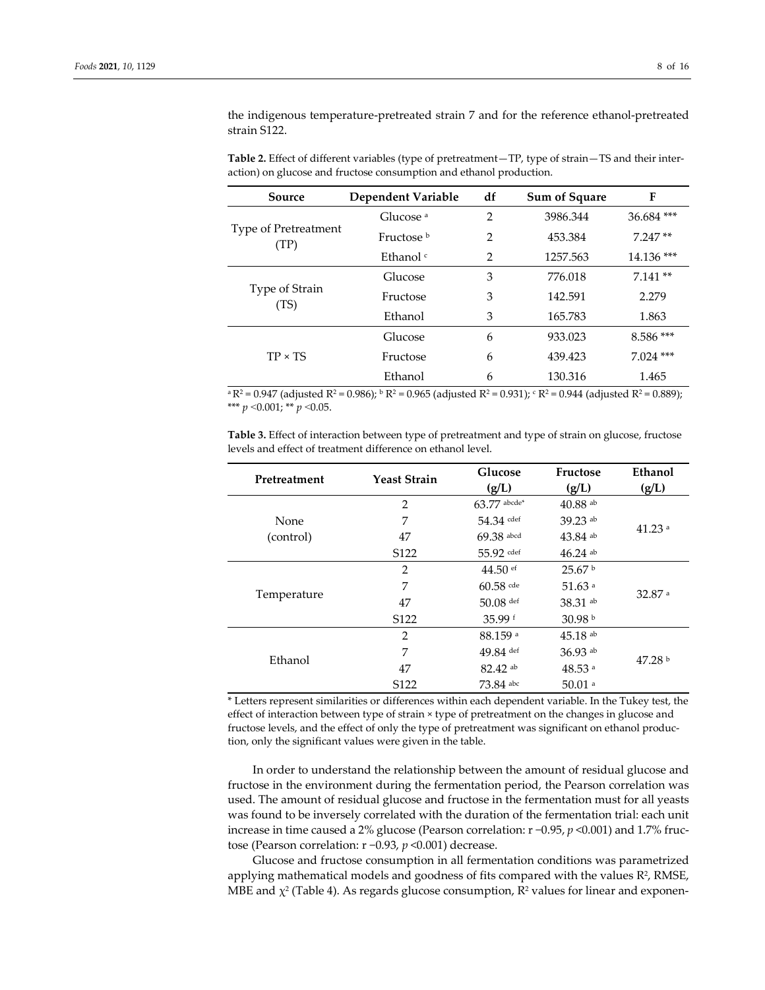the indigenous temperature-pretreated strain 7 and for the reference ethanol-pretreated strain S122.

| Source                              | Dependent Variable   | df             | Sum of Square | F           |  |
|-------------------------------------|----------------------|----------------|---------------|-------------|--|
|                                     | Glucose <sup>a</sup> | $\overline{2}$ | 3986.344      | 36.684 ***  |  |
| <b>Type of Pretreatment</b><br>(TP) | Fructose b           | 2              | 453.384       | $7.247**$   |  |
|                                     | Ethanol <sup>c</sup> | $\mathcal{P}$  | 1257.563      | 14.136 ***  |  |
|                                     | Glucose              | 3              | 776.018       | $7.141**$   |  |
| Type of Strain<br>(TS)              | Fructose             | 3              | 142.591       | 2.279       |  |
|                                     | Ethanol              | 3              | 165.783       | 1.863       |  |
|                                     | Glucose              | 6              | 933.023       | $8.586***$  |  |
| $TP \times TS$                      | Fructose             | 6              | 439.423       | $7.024$ *** |  |
|                                     | Ethanol              | 6              | 130.316       | 1.465       |  |

**Table 2.** Effect of different variables (type of pretreatment—TP, type of strain—TS and their interaction) on glucose and fructose consumption and ethanol production.

 $a R^2 = 0.947$  (adjusted R<sup>2</sup> = 0.986);  $b R^2 = 0.965$  (adjusted R<sup>2</sup> = 0.931);  $c R^2 = 0.944$  (adjusted R<sup>2</sup> = 0.889); \*\*\* *p* ˂0.001; \*\* *p* ˂0.05.

**Table 3.** Effect of interaction between type of pretreatment and type of strain on glucose, fructose levels and effect of treatment difference on ethanol level.

| Pretreatment | <b>Yeast Strain</b> | Glucose<br>(g/L)      | Fructose<br>(g/L)     | Ethanol<br>(g/L)     |  |
|--------------|---------------------|-----------------------|-----------------------|----------------------|--|
|              | $\overline{2}$      | $63.77$ abcde*        | $40.88$ ab            |                      |  |
| None         | 7                   | 54.34 cdef            | 39.23 ab              | $41.23$ <sup>a</sup> |  |
| (control)    | 47                  | $69.38$ abcd          | $43.84$ ab            |                      |  |
|              | S122                | $55.92$ cdef          | $46.24$ ab            |                      |  |
|              | $\overline{2}$      | $44.50$ ef            | 25.67 <sup>b</sup>    |                      |  |
|              | 7                   | $60.58$ cde           | $51.63$ <sup>a</sup>  | $32.87$ <sup>a</sup> |  |
| Temperature  | 47                  | $50.08$ def           | 38.31 ab              |                      |  |
|              | S <sub>122</sub>    | 35.99f                | 30.98 <sup>b</sup>    |                      |  |
|              | $\overline{2}$      | $88.159$ <sup>a</sup> | $45.18$ <sup>ab</sup> |                      |  |
| Ethanol      | 7                   | 49.84 def             | 36.93 ab              | 47.28 <sup>b</sup>   |  |
|              | 47                  | 82.42 ab              | $48.53$ <sup>a</sup>  |                      |  |
|              | S <sub>122</sub>    | 73.84 abc             | $50.01$ <sup>a</sup>  |                      |  |

\* Letters represent similarities or differences within each dependent variable. In the Tukey test, the effect of interaction between type of strain × type of pretreatment on the changes in glucose and fructose levels, and the effect of only the type of pretreatment was significant on ethanol production, only the significant values were given in the table.

In order to understand the relationship between the amount of residual glucose and fructose in the environment during the fermentation period, the Pearson correlation was used. The amount of residual glucose and fructose in the fermentation must for all yeasts was found to be inversely correlated with the duration of the fermentation trial: each unit increase in time caused a 2% glucose (Pearson correlation: r −0.95, *p* <0.001) and 1.7% fructose (Pearson correlation: r −0.93, *p* <0.001) decrease.

Glucose and fructose consumption in all fermentation conditions was parametrized applying mathematical models and goodness of fits compared with the values  $R^2$ , RMSE, MBE and  $\chi^2$  (Table 4). As regards glucose consumption,  $\mathbb{R}^2$  values for linear and exponen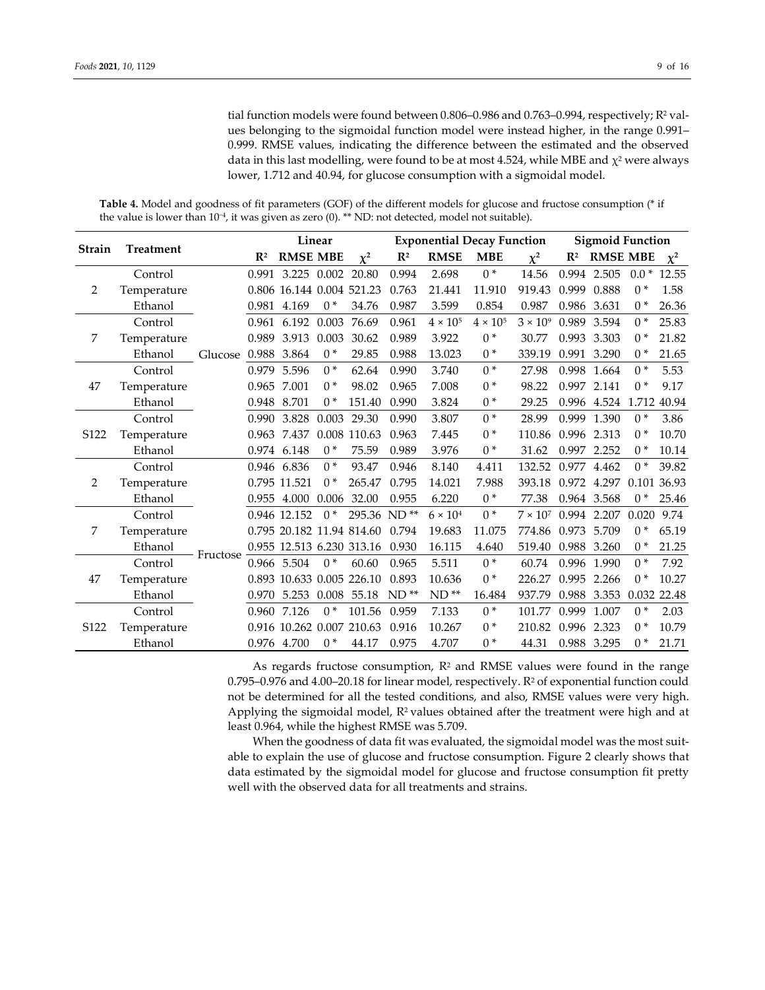tial function models were found between 0.806–0.986 and 0.763–0.994, respectively; R<sup>2</sup> values belonging to the sigmoidal function model were instead higher, in the range 0.991– 0.999. RMSE values, indicating the difference between the estimated and the observed data in this last modelling, were found to be at most 4.524, while MBE and  $\chi^2$  were always lower, 1.712 and 40.94, for glucose consumption with a sigmoidal model.

**Table 4.** Model and goodness of fit parameters (GOF) of the different models for glucose and fructose consumption (\* if the value is lower than 10−4, it was given as zero (0). \*\* ND: not detected, model not suitable).

| Strain           |                  |               | Linear         |                           |       | <b>Exponential Decay Function</b> |                |                 | <b>Sigmoid Function</b> |                 |                |                 |        |             |
|------------------|------------------|---------------|----------------|---------------------------|-------|-----------------------------------|----------------|-----------------|-------------------------|-----------------|----------------|-----------------|--------|-------------|
|                  | <b>Treatment</b> |               | $\mathbb{R}^2$ | <b>RMSE MBE</b>           |       | $\chi^2$                          | $\mathbb{R}^2$ | <b>RMSE</b>     | <b>MBE</b>              | $\chi^2$        | $\mathbf{R}^2$ | <b>RMSE MBE</b> |        | $\chi^2$    |
| 2                | Control          |               | 0.991          | 3.225                     | 0.002 | 20.80                             | 0.994          | 2.698           | $0*$                    | 14.56           |                | 0.994 2.505     | $0.0*$ | 12.55       |
|                  | Temperature      |               |                | 0.806 16.144 0.004 521.23 |       |                                   | 0.763          | 21.441          | 11.910                  | 919.43          | 0.999          | 0.888           | $0*$   | 1.58        |
|                  | Ethanol          |               |                | 0.981 4.169               | $0*$  | 34.76                             | 0.987          | 3.599           | 0.854                   | 0.987           |                | 0.986 3.631     | $0*$   | 26.36       |
|                  | Control          |               | 0.961          | 6.192                     | 0.003 | 76.69                             | 0.961          | $4 \times 10^5$ | $4 \times 10^5$         | $3 \times 10^9$ | 0.989          | 3.594           | $0*$   | 25.83       |
| 7                | Temperature      |               | 0.989          | 3.913                     | 0.003 | 30.62                             | 0.989          | 3.922           | $0*$                    | 30.77           | 0.993          | 3.303           | $0*$   | 21.82       |
|                  | Ethanol          | Glucose 0.988 |                | 3.864                     | $0*$  | 29.85                             | 0.988          | 13.023          | $0*$                    | 339.19          | 0.991          | 3.290           | $0*$   | 21.65       |
|                  | Control          |               | 0.979          | 5.596                     | $0*$  | 62.64                             | 0.990          | 3.740           | $0*$                    | 27.98           | 0.998          | 1.664           | $0*$   | 5.53        |
| 47               | Temperature      |               | 0.965          | 7.001                     | $0*$  | 98.02                             | 0.965          | 7.008           | $^{*}$                  | 98.22           | 0.997          | 2.141           | $0*$   | 9.17        |
|                  | Ethanol          |               | 0.948          | 8.701                     | $0*$  | 151.40                            | 0.990          | 3.824           | $0*$                    | 29.25           |                | 0.996 4.524     |        | 1.712 40.94 |
|                  | Control          |               | 0.990          | 3.828                     | 0.003 | 29.30                             | 0.990          | 3.807           | $0*$                    | 28.99           | 0.999          | 1.390           | $0*$   | 3.86        |
| S <sub>122</sub> | Temperature      |               | 0.963          | 7.437                     |       | 0.008 110.63                      | 0.963          | 7.445           | $0*$                    | 110.86          | 0.996          | 2.313           | $0*$   | 10.70       |
|                  | Ethanol          |               |                | 0.974 6.148               | $0*$  | 75.59                             | 0.989          | 3.976           | $0*$                    | 31.62           | 0.997          | 2.252           | $0*$   | 10.14       |
|                  | Control          |               | 0.946          | 6.836                     | $0*$  | 93.47                             | 0.946          | 8.140           | 4.411                   | 132.52          | 0.977          | 4.462           | $0*$   | 39.82       |
| 2                | Temperature      |               |                | 0.795 11.521              | $0*$  | 265.47                            | 0.795          | 14.021          | 7.988                   | 393.18          |                | 0.972 4.297     |        | 0.101 36.93 |
|                  | Ethanol          |               | 0.955          | 4.000                     | 0.006 | 32.00                             | 0.955          | 6.220           | $0*$                    | 77.38           |                | 0.964 3.568     | $0*$   | 25.46       |
|                  | Control          |               |                | 0.946 12.152              | $0*$  | 295.36 ND**                       |                | $6 \times 10^4$ | $0*$                    | $7 \times 10^7$ | 0.994          | 2.207           | 0.020  | 9.74        |
| 7                | Temperature      |               |                |                           |       | 0.795 20.182 11.94 814.60         | 0.794          | 19.683          | 11.075                  | 774.86          | 0.973          | 5.709           | $0*$   | 65.19       |
|                  | Ethanol          | Fructose      |                |                           |       | 0.955 12.513 6.230 313.16         | 0.930          | 16.115          | 4.640                   | 519.40          | 0.988          | 3.260           | $0*$   | 21.25       |
|                  | Control          |               |                | 0.966 5.504               | $0*$  | 60.60                             | 0.965          | 5.511           | $0*$                    | 60.74           | 0.996          | 1.990           | $0*$   | 7.92        |
| 47               | Temperature      |               |                |                           |       | 0.893 10.633 0.005 226.10         | 0.893          | 10.636          | $0*$                    | 226.27          | 0.995          | 2.266           | $0*$   | 10.27       |
|                  | Ethanol          |               | 0.970          | 5.253                     | 0.008 | 55.18                             | $ND$ **        | $ND$ **         | 16.484                  | 937.79          | 0.988          | 3.353           | 0.032  | 22.48       |
|                  | Control          |               |                | 0.960 7.126               | $0*$  | 101.56                            | 0.959          | 7.133           | $0*$                    | 101.77          | 0.999          | 1.007           | $0*$   | 2.03        |
| S122             | Temperature      |               |                | 0.916 10.262 0.007 210.63 |       |                                   | 0.916          | 10.267          | $0*$                    | 210.82          | 0.996          | 2.323           | $0*$   | 10.79       |
|                  | Ethanol          |               |                | 0.976 4.700               | $0*$  | 44.17                             | 0.975          | 4.707           | $0*$                    | 44.31           |                | 0.988 3.295     | $0*$   | 21.71       |

As regards fructose consumption,  $R^2$  and RMSE values were found in the range 0.795–0.976 and 4.00–20.18 for linear model, respectively. R2 of exponential function could not be determined for all the tested conditions, and also, RMSE values were very high. Applying the sigmoidal model,  $R^2$  values obtained after the treatment were high and at least 0.964, while the highest RMSE was 5.709.

When the goodness of data fit was evaluated, the sigmoidal model was the most suitable to explain the use of glucose and fructose consumption. Figure 2 clearly shows that data estimated by the sigmoidal model for glucose and fructose consumption fit pretty well with the observed data for all treatments and strains.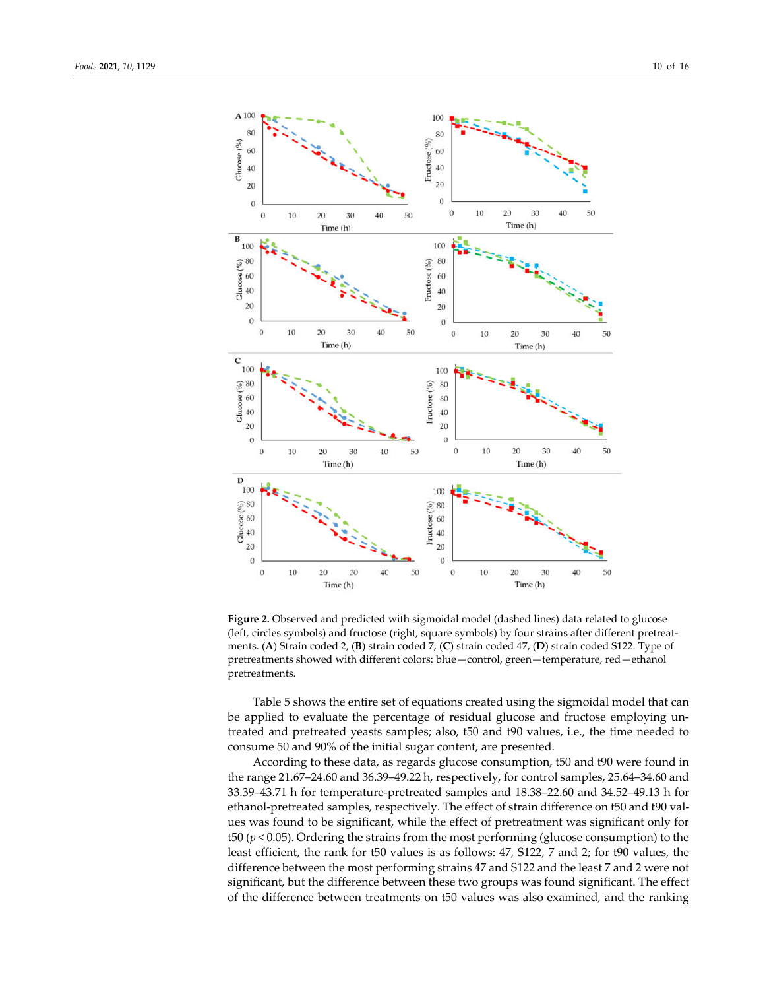

Figure 2. Observed and predicted with sigmoidal model (dashed lines) data related to glucose (left, circles symbols) and fructose (right, square symbols) by four strains after different pretreatments. (**A**) Strain coded 2, (**B**) strain coded 7, (**C**) strain coded 47, (**D**) strain coded S122. Type of pretreatments showed with different colors: blue—control, green—temperature, red—ethanol pretreatments.

Table 5 shows the entire set of equations created using the sigmoidal model that can be applied to evaluate the percentage of residual glucose and fructose employing untreated and pretreated yeasts samples; also, t50 and t90 values, i.e., the time needed to consume 50 and 90% of the initial sugar content, are presented.

According to these data, as regards glucose consumption, t50 and t90 were found in the range 21.67–24.60 and 36.39–49.22 h, respectively, for control samples, 25.64–34.60 and 33.39–43.71 h for temperature-pretreated samples and 18.38–22.60 and 34.52–49.13 h for ethanol-pretreated samples, respectively. The effect of strain difference on t50 and t90 values was found to be significant, while the effect of pretreatment was significant only for t50 ( $p$  < 0.05). Ordering the strains from the most performing (glucose consumption) to the least efficient, the rank for t50 values is as follows: 47, S122, 7 and 2; for t90 values, the difference between the most performing strains 47 and S122 and the least 7 and 2 were not significant, but the difference between these two groups was found significant. The effect of the difference between treatments on t50 values was also examined, and the ranking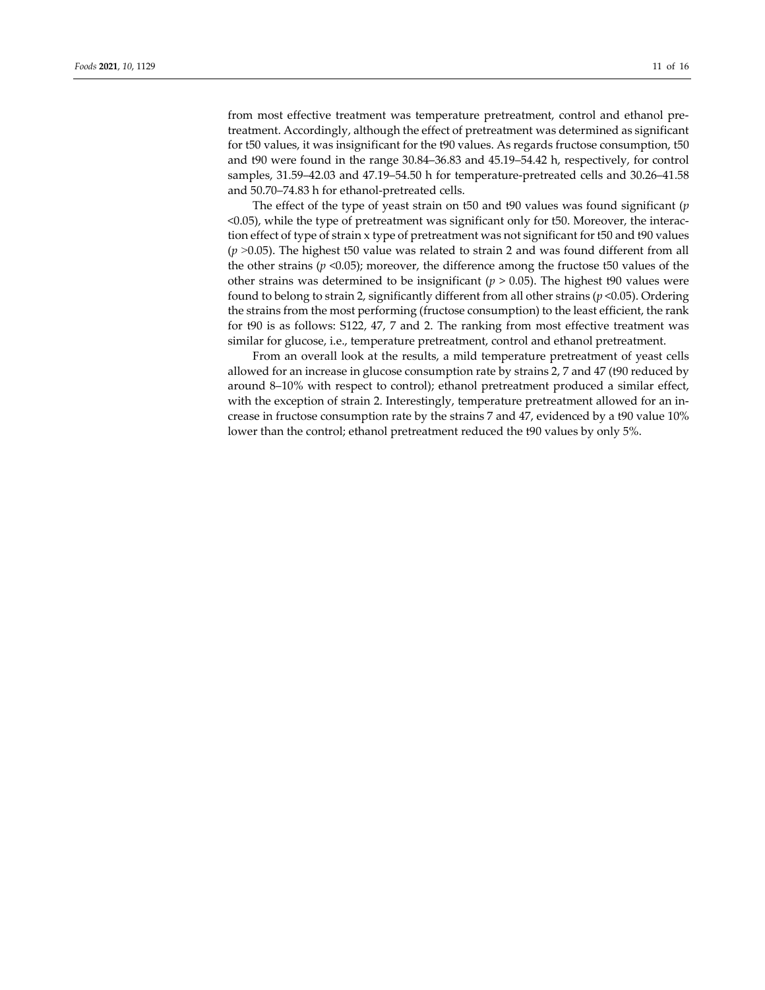from most effective treatment was temperature pretreatment, control and ethanol pretreatment. Accordingly, although the effect of pretreatment was determined as significant for t50 values, it was insignificant for the t90 values. As regards fructose consumption, t50 and t90 were found in the range 30.84–36.83 and 45.19–54.42 h, respectively, for control samples, 31.59–42.03 and 47.19–54.50 h for temperature-pretreated cells and 30.26–41.58 and 50.70–74.83 h for ethanol-pretreated cells.

The effect of the type of yeast strain on t50 and t90 values was found significant (*p* <0.05), while the type of pretreatment was significant only for t50. Moreover, the interaction effect of type of strain x type of pretreatment was not significant for t50 and t90 values (*p* ˃0.05). The highest t50 value was related to strain 2 and was found different from all the other strains ( $p$  <0.05); moreover, the difference among the fructose t50 values of the other strains was determined to be insignificant (*p* > 0.05). The highest t90 values were found to belong to strain 2, significantly different from all other strains (*p* <0.05). Ordering the strains from the most performing (fructose consumption) to the least efficient, the rank for t90 is as follows: S122, 47, 7 and 2. The ranking from most effective treatment was similar for glucose, i.e., temperature pretreatment, control and ethanol pretreatment.

From an overall look at the results, a mild temperature pretreatment of yeast cells allowed for an increase in glucose consumption rate by strains 2, 7 and 47 (t90 reduced by around 8–10% with respect to control); ethanol pretreatment produced a similar effect, with the exception of strain 2. Interestingly, temperature pretreatment allowed for an increase in fructose consumption rate by the strains 7 and 47, evidenced by a t90 value 10% lower than the control; ethanol pretreatment reduced the t90 values by only 5%.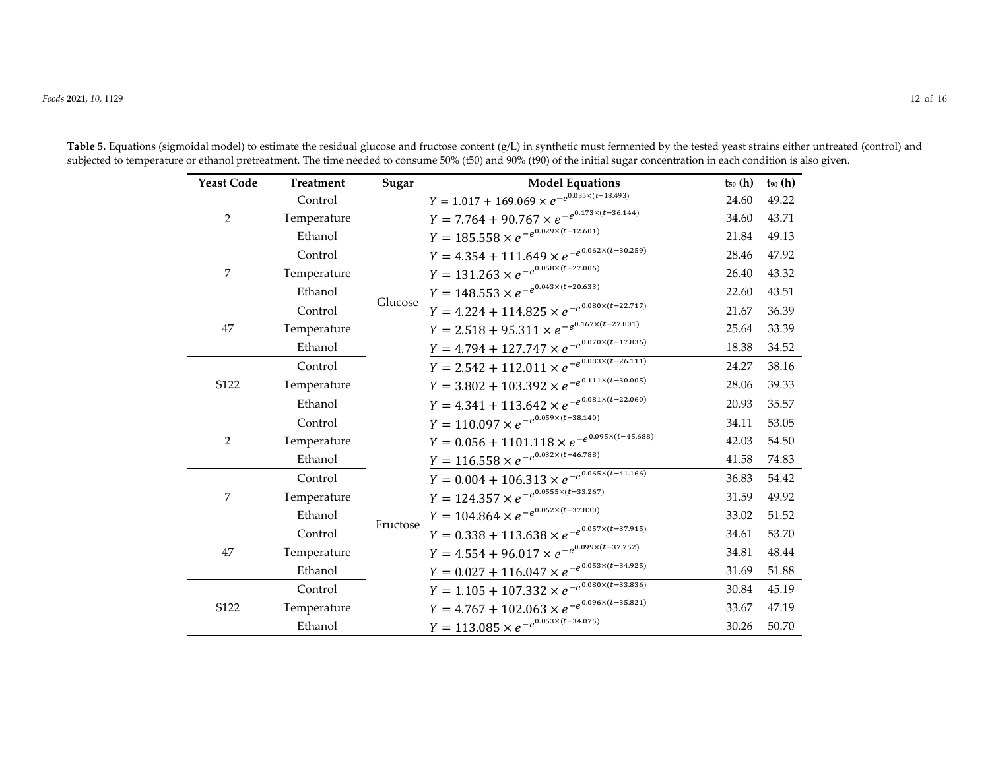| <b>Yeast Code</b> | <b>Treatment</b> | Sugar    | <b>Model Equations</b>                                                   | $t_{50}$ (h) | $t_{90}$ (h) |
|-------------------|------------------|----------|--------------------------------------------------------------------------|--------------|--------------|
|                   | Control          | Glucose  | $Y = 1.017 + 169.069 \times e^{-e^{0.035 \times (t-18.493)}}$            | 24.60        | 49.22        |
| $\overline{2}$    | Temperature      |          | $Y = 7.764 + 90.767 \times e^{-e^{0.173 \times (t-36.144)}}$             | 34.60        | 43.71        |
|                   | Ethanol          |          | $Y = 185.558 \times e^{-e^{0.029 \times (t-12.601)}}$                    | 21.84        | 49.13        |
|                   | Control          |          | $Y = 4.354 + 111.649 \times e^{-e^{\overline{0.062 \times (t-30.259)}}}$ | 28.46        | 47.92        |
| 7                 | Temperature      |          | $Y = 131.263 \times e^{-e^{0.058 \times (t-27.006)}}$                    | 26.40        | 43.32        |
|                   | Ethanol          |          | $Y = 148.553 \times e^{-e^{0.043 \times (t-20.633)}}$                    | 22.60        | 43.51        |
|                   | Control          |          | $Y = 4.224 + 114.825 \times e^{-e^{0.080 \times (t-22.717)}}$            | 21.67        | 36.39        |
| 47                | Temperature      |          | $Y = 2.518 + 95.311 \times e^{-e^{0.167 \times (t-27.801)}}$             | 25.64        | 33.39        |
|                   | Ethanol          |          | $Y = 4.794 + 127.747 \times e^{-e^{0.070 \times (t-17.836)}}$            | 18.38        | 34.52        |
|                   | Control          |          | $Y = 2.542 + 112.011 \times e^{-e^{0.083 \times (t - 26.111)}}$          | 24.27        | 38.16        |
| S122              | Temperature      |          | $Y = 3.802 + 103.392 \times e^{-e^{0.111 \times (t-30.005)}}$            | 28.06        | 39.33        |
|                   | Ethanol          |          | $Y = 4.341 + 113.642 \times e^{-e^{0.081 \times (t-22.060)}}$            | 20.93        | 35.57        |
|                   | Control          |          | $Y = 110.097 \times e^{-e^{\frac{-e^{0.059 \times (t-38.140)}}{t}}$      | 34.11        | 53.05        |
| $\overline{2}$    | Temperature      |          | $Y = 0.056 + 1101.118 \times e^{-e^{0.095 \times (t-45.688)}}$           | 42.03        | 54.50        |
|                   | Ethanol          |          | $Y = 116.558 \times e^{-e^{0.032 \times (t-46.788)}}$                    | 41.58        | 74.83        |
|                   | Control          |          | $Y = 0.004 + 106.313 \times e^{-e^{0.065 \times (t-41.166)}}$            | 36.83        | 54.42        |
| 7                 | Temperature      |          | $Y = 124.357 \times e^{-e^{0.0555 \times (t-33.267)}}$                   | 31.59        | 49.92        |
|                   | Ethanol          |          | $Y = 104.864 \times e^{-e^{0.062 \times (t-37.830)}}$                    | 33.02        | 51.52        |
|                   | Control          | Fructose | $Y = 0.338 + 113.638 \times e^{-e^{0.057 \times (t-37.915)}}$            | 34.61        | 53.70        |
| 47                | Temperature      |          | $Y = 4.554 + 96.017 \times e^{-e^{0.099 \times (t-37.752)}}$             | 34.81        | 48.44        |
|                   | Ethanol          |          | $Y = 0.027 + 116.047 \times e^{-e^{0.053 \times (t-34.925)}}$            | 31.69        | 51.88        |
|                   | Control          |          | $Y = 1.105 + 107.332 \times e^{-e^{0.080 \times (t-33.836)}}$            | 30.84        | 45.19        |
| S122              | Temperature      |          | $Y = 4.767 + 102.063 \times e^{-e^{0.096 \times (t-35.821)}}$            | 33.67        | 47.19        |
|                   | Ethanol          |          | $Y = 113.085 \times e^{-e^{0.053 \times (t-34.075)}}$                    | 30.26        | 50.70        |

Table 5. Equations (sigmoidal model) to estimate the residual glucose and fructose content (g/L) in synthetic must fermented by the tested yeast strains either untreated (control) and subjected to temperature or ethanol pretreatment. The time needed to consume 50% (t50) and 90% (t90) of the initial sugar concentration in each condition is also given.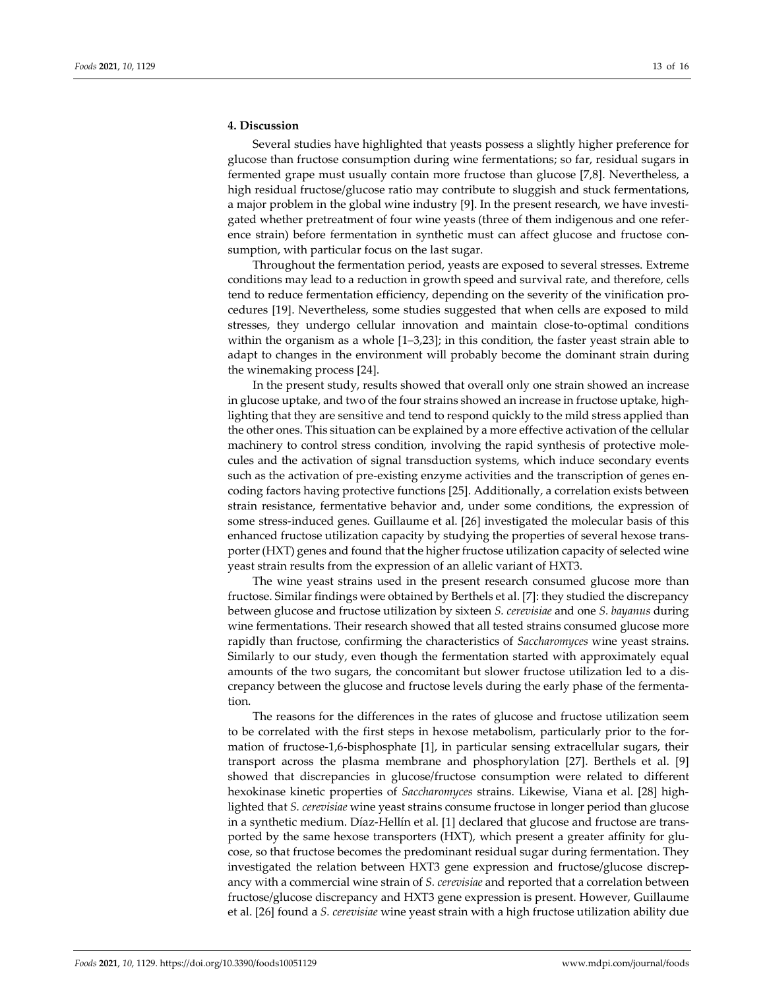# **4. Discussion**

Several studies have highlighted that yeasts possess a slightly higher preference for glucose than fructose consumption during wine fermentations; so far, residual sugars in fermented grape must usually contain more fructose than glucose [7,8]. Nevertheless, a high residual fructose/glucose ratio may contribute to sluggish and stuck fermentations, a major problem in the global wine industry [9]. In the present research, we have investigated whether pretreatment of four wine yeasts (three of them indigenous and one reference strain) before fermentation in synthetic must can affect glucose and fructose consumption, with particular focus on the last sugar.

Throughout the fermentation period, yeasts are exposed to several stresses. Extreme conditions may lead to a reduction in growth speed and survival rate, and therefore, cells tend to reduce fermentation efficiency, depending on the severity of the vinification procedures [19]. Nevertheless, some studies suggested that when cells are exposed to mild stresses, they undergo cellular innovation and maintain close-to-optimal conditions within the organism as a whole [1–3,23]; in this condition, the faster yeast strain able to adapt to changes in the environment will probably become the dominant strain during the winemaking process [24].

In the present study, results showed that overall only one strain showed an increase in glucose uptake, and two of the four strains showed an increase in fructose uptake, highlighting that they are sensitive and tend to respond quickly to the mild stress applied than the other ones. This situation can be explained by a more effective activation of the cellular machinery to control stress condition, involving the rapid synthesis of protective molecules and the activation of signal transduction systems, which induce secondary events such as the activation of pre-existing enzyme activities and the transcription of genes encoding factors having protective functions [25]. Additionally, a correlation exists between strain resistance, fermentative behavior and, under some conditions, the expression of some stress-induced genes. Guillaume et al. [26] investigated the molecular basis of this enhanced fructose utilization capacity by studying the properties of several hexose transporter (HXT) genes and found that the higher fructose utilization capacity of selected wine yeast strain results from the expression of an allelic variant of HXT3.

The wine yeast strains used in the present research consumed glucose more than fructose. Similar findings were obtained by Berthels et al. [7]: they studied the discrepancy between glucose and fructose utilization by sixteen *S. cerevisiae* and one *S. bayanus* during wine fermentations. Their research showed that all tested strains consumed glucose more rapidly than fructose, confirming the characteristics of *Saccharomyces* wine yeast strains. Similarly to our study, even though the fermentation started with approximately equal amounts of the two sugars, the concomitant but slower fructose utilization led to a discrepancy between the glucose and fructose levels during the early phase of the fermentation.

The reasons for the differences in the rates of glucose and fructose utilization seem to be correlated with the first steps in hexose metabolism, particularly prior to the formation of fructose-1,6-bisphosphate [1], in particular sensing extracellular sugars, their transport across the plasma membrane and phosphorylation [27]. Berthels et al. [9] showed that discrepancies in glucose/fructose consumption were related to different hexokinase kinetic properties of *Saccharomyces* strains. Likewise, Viana et al. [28] highlighted that *S. cerevisiae* wine yeast strains consume fructose in longer period than glucose in a synthetic medium. Díaz-Hellín et al. [1] declared that glucose and fructose are transported by the same hexose transporters (HXT), which present a greater affinity for glucose, so that fructose becomes the predominant residual sugar during fermentation. They investigated the relation between HXT3 gene expression and fructose/glucose discrepancy with a commercial wine strain of *S. cerevisiae* and reported that a correlation between fructose/glucose discrepancy and HXT3 gene expression is present. However, Guillaume et al. [26] found a *S. cerevisiae* wine yeast strain with a high fructose utilization ability due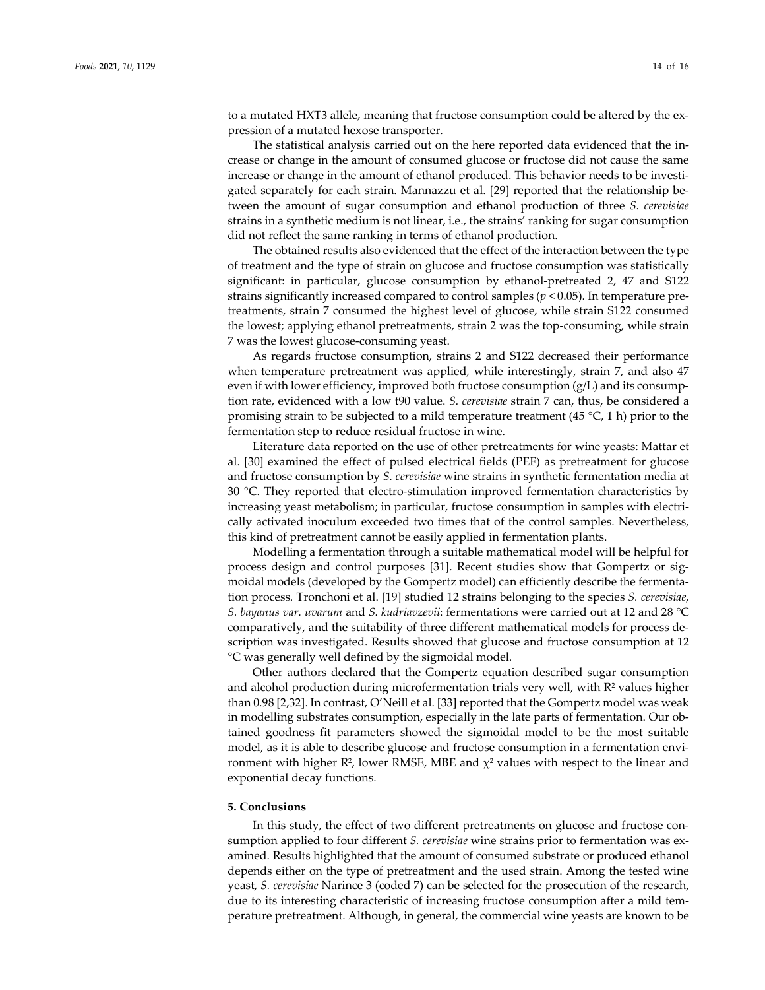to a mutated HXT3 allele, meaning that fructose consumption could be altered by the expression of a mutated hexose transporter.

The statistical analysis carried out on the here reported data evidenced that the increase or change in the amount of consumed glucose or fructose did not cause the same increase or change in the amount of ethanol produced. This behavior needs to be investigated separately for each strain. Mannazzu et al. [29] reported that the relationship between the amount of sugar consumption and ethanol production of three *S. cerevisiae*  strains in a synthetic medium is not linear, i.e., the strains' ranking for sugar consumption did not reflect the same ranking in terms of ethanol production.

The obtained results also evidenced that the effect of the interaction between the type of treatment and the type of strain on glucose and fructose consumption was statistically significant: in particular, glucose consumption by ethanol-pretreated 2, 47 and S122 strains significantly increased compared to control samples (*p* < 0.05). In temperature pretreatments, strain 7 consumed the highest level of glucose, while strain S122 consumed the lowest; applying ethanol pretreatments, strain 2 was the top-consuming, while strain 7 was the lowest glucose-consuming yeast.

As regards fructose consumption, strains 2 and S122 decreased their performance when temperature pretreatment was applied, while interestingly, strain 7, and also 47 even if with lower efficiency, improved both fructose consumption  $(g/L)$  and its consumption rate, evidenced with a low t90 value. *S. cerevisiae* strain 7 can, thus, be considered a promising strain to be subjected to a mild temperature treatment (45  $\degree$ C, 1 h) prior to the fermentation step to reduce residual fructose in wine.

Literature data reported on the use of other pretreatments for wine yeasts: Mattar et al. [30] examined the effect of pulsed electrical fields (PEF) as pretreatment for glucose and fructose consumption by *S. cerevisiae* wine strains in synthetic fermentation media at 30 °C. They reported that electro-stimulation improved fermentation characteristics by increasing yeast metabolism; in particular, fructose consumption in samples with electrically activated inoculum exceeded two times that of the control samples. Nevertheless, this kind of pretreatment cannot be easily applied in fermentation plants.

Modelling a fermentation through a suitable mathematical model will be helpful for process design and control purposes [31]. Recent studies show that Gompertz or sigmoidal models (developed by the Gompertz model) can efficiently describe the fermentation process. Tronchoni et al. [19] studied 12 strains belonging to the species *S. cerevisiae*, *S. bayanus var. uvarum* and *S. kudriavzevii*: fermentations were carried out at 12 and 28 °C comparatively, and the suitability of three different mathematical models for process description was investigated. Results showed that glucose and fructose consumption at 12 °C was generally well defined by the sigmoidal model.

Other authors declared that the Gompertz equation described sugar consumption and alcohol production during microfermentation trials very well, with  $R<sup>2</sup>$  values higher than 0.98 [2,32]. In contrast, O'Neill et al. [33] reported that the Gompertz model was weak in modelling substrates consumption, especially in the late parts of fermentation. Our obtained goodness fit parameters showed the sigmoidal model to be the most suitable model, as it is able to describe glucose and fructose consumption in a fermentation environment with higher R<sup>2</sup>, lower RMSE, MBE and  $\chi^2$  values with respect to the linear and exponential decay functions.

#### **5. Conclusions**

In this study, the effect of two different pretreatments on glucose and fructose consumption applied to four different *S. cerevisiae* wine strains prior to fermentation was examined. Results highlighted that the amount of consumed substrate or produced ethanol depends either on the type of pretreatment and the used strain. Among the tested wine yeast, *S. cerevisiae* Narince 3 (coded 7) can be selected for the prosecution of the research, due to its interesting characteristic of increasing fructose consumption after a mild temperature pretreatment. Although, in general, the commercial wine yeasts are known to be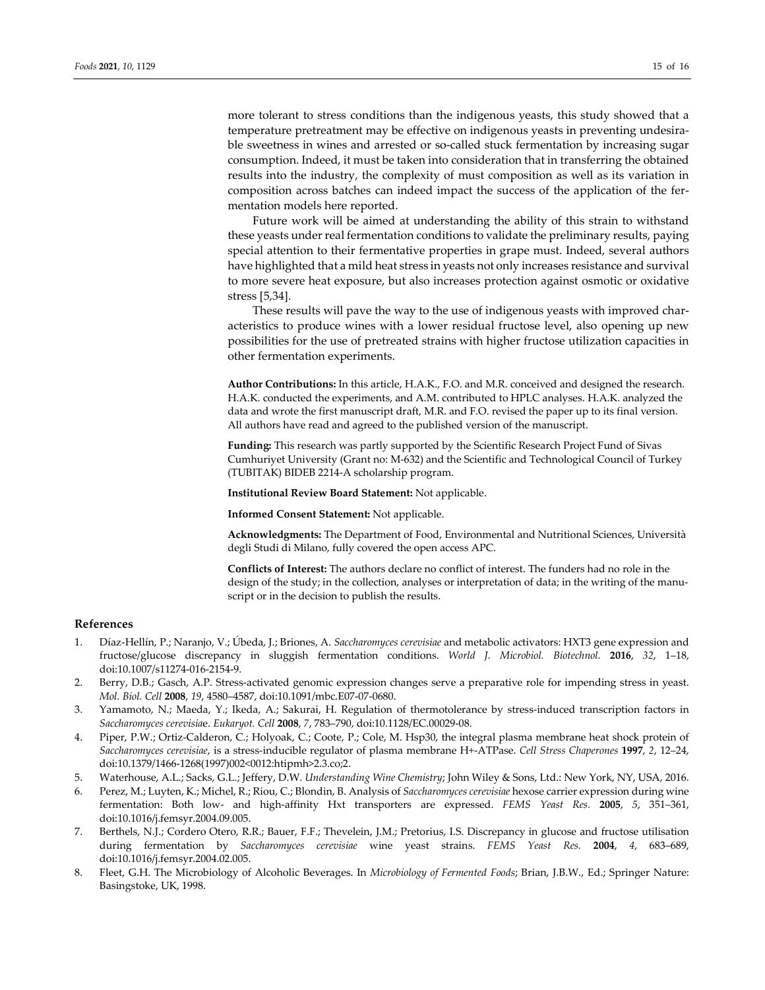more tolerant to stress conditions than the indigenous yeasts, this study showed that a temperature pretreatment may be effective on indigenous yeasts in preventing undesirable sweetness in wines and arrested or so-called stuck fermentation by increasing sugar consumption. Indeed, it must be taken into consideration that in transferring the obtained results into the industry, the complexity of must composition as well as its variation in composition across batches can indeed impact the success of the application of the fermentation models here reported.

Future work will be aimed at understanding the ability of this strain to withstand these yeasts under real fermentation conditions to validate the preliminary results, paying special attention to their fermentative properties in grape must. Indeed, several authors have highlighted that a mild heat stress in yeasts not only increases resistance and survival to more severe heat exposure, but also increases protection against osmotic or oxidative stress [5,34].

These results will pave the way to the use of indigenous yeasts with improved characteristics to produce wines with a lower residual fructose level, also opening up new possibilities for the use of pretreated strains with higher fructose utilization capacities in other fermentation experiments.

**Author Contributions:** In this article, H.A.K., F.O. and M.R. conceived and designed the research. H.A.K. conducted the experiments, and A.M. contributed to HPLC analyses. H.A.K. analyzed the data and wrote the first manuscript draft, M.R. and F.O. revised the paper up to its final version. All authors have read and agreed to the published version of the manuscript.

**Funding:** This research was partly supported by the Scientific Research Project Fund of Sivas Cumhuriyet University (Grant no: M-632) and the Scientific and Technological Council of Turkey (TUBITAK) BIDEB 2214-A scholarship program.

**Institutional Review Board Statement:** Not applicable.

**Informed Consent Statement:** Not applicable.

**Acknowledgments:** The Department of Food, Environmental and Nutritional Sciences, Università degli Studi di Milano, fully covered the open access APC.

**Conflicts of Interest:** The authors declare no conflict of interest. The funders had no role in the design of the study; in the collection, analyses or interpretation of data; in the writing of the manuscript or in the decision to publish the results.

## **References**

- 1. Díaz-Hellín, P.; Naranjo, V.; Úbeda, J.; Briones, A. *Saccharomyces cerevisiae* and metabolic activators: HXT3 gene expression and fructose/glucose discrepancy in sluggish fermentation conditions. *World J. Microbiol. Biotechnol.* **2016**, *32*, 1–18, doi:10.1007/s11274-016-2154-9.
- 2. Berry, D.B.; Gasch, A.P. Stress-activated genomic expression changes serve a preparative role for impending stress in yeast. *Mol. Biol. Cell* **2008**, *19*, 4580–4587, doi:10.1091/mbc.E07-07-0680.
- 3. Yamamoto, N.; Maeda, Y.; Ikeda, A.; Sakurai, H. Regulation of thermotolerance by stress-induced transcription factors in *Saccharomyces cerevisia*e. *Eukaryot. Cell* **2008**, *7*, 783–790, doi:10.1128/EC.00029-08.
- 4. Piper, P.W.; Ortiz-Calderon, C.; Holyoak, C.; Coote, P.; Cole, M. Hsp30, the integral plasma membrane heat shock protein of *Saccharomyces cerevisiae*, is a stress-inducible regulator of plasma membrane H+-ATPase. *Cell Stress Chaperones* **1997**, *2*, 12–24, doi:10.1379/1466-1268(1997)002<0012:htipmh>2.3.co;2.
- 5. Waterhouse, A.L.; Sacks, G.L.; Jeffery, D.W. *Understanding Wine Chemistry*; John Wiley & Sons, Ltd.: New York, NY, USA, 2016.
- 6. Perez, M.; Luyten, K.; Michel, R.; Riou, C.; Blondin, B. Analysis of *Saccharomyces cerevisiae* hexose carrier expression during wine fermentation: Both low- and high-affinity Hxt transporters are expressed. *FEMS Yeast Res.* **2005**, *5*, 351–361, doi:10.1016/j.femsyr.2004.09.005.
- 7. Berthels, N.J.; Cordero Otero, R.R.; Bauer, F.F.; Thevelein, J.M.; Pretorius, I.S. Discrepancy in glucose and fructose utilisation during fermentation by *Saccharomyces cerevisiae* wine yeast strains. *FEMS Yeast Res.* **2004**, *4*, 683–689, doi:10.1016/j.femsyr.2004.02.005.
- 8. Fleet, G.H. The Microbiology of Alcoholic Beverages. In *Microbiology of Fermented Foods*; Brian, J.B.W., Ed.; Springer Nature: Basingstoke, UK, 1998.